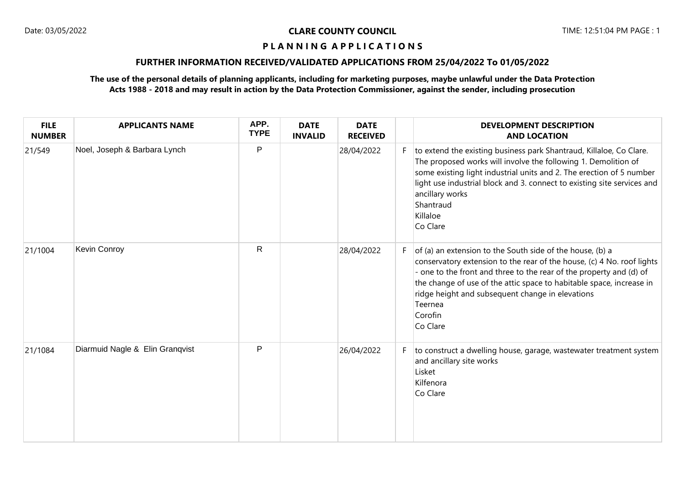# **FURTHER INFORMATION RECEIVED/VALIDATED APPLICATIONS FROM 25/04/2022 To 01/05/2022**

| <b>FILE</b><br><b>NUMBER</b> | <b>APPLICANTS NAME</b>          | APP.<br><b>TYPE</b> | <b>DATE</b><br><b>INVALID</b> | <b>DATE</b><br><b>RECEIVED</b> |   | <b>DEVELOPMENT DESCRIPTION</b><br><b>AND LOCATION</b>                                                                                                                                                                                                                                                                                                                    |
|------------------------------|---------------------------------|---------------------|-------------------------------|--------------------------------|---|--------------------------------------------------------------------------------------------------------------------------------------------------------------------------------------------------------------------------------------------------------------------------------------------------------------------------------------------------------------------------|
| 21/549                       | Noel, Joseph & Barbara Lynch    | P                   |                               | 28/04/2022                     |   | to extend the existing business park Shantraud, Killaloe, Co Clare.<br>The proposed works will involve the following 1. Demolition of<br>some existing light industrial units and 2. The erection of 5 number<br>light use industrial block and 3. connect to existing site services and<br>ancillary works<br>Shantraud<br>Killaloe<br>Co Clare                         |
| 21/1004                      | Kevin Conroy                    | $\mathsf{R}$        |                               | 28/04/2022                     | F | of (a) an extension to the South side of the house, (b) a<br>conservatory extension to the rear of the house, (c) 4 No. roof lights<br>- one to the front and three to the rear of the property and (d) of<br>the change of use of the attic space to habitable space, increase in<br>ridge height and subsequent change in elevations<br>Teernea<br>Corofin<br>Co Clare |
| 21/1084                      | Diarmuid Nagle & Elin Granqvist | P                   |                               | 26/04/2022                     | F | to construct a dwelling house, garage, wastewater treatment system<br>and ancillary site works<br>Lisket<br>Kilfenora<br>Co Clare                                                                                                                                                                                                                                        |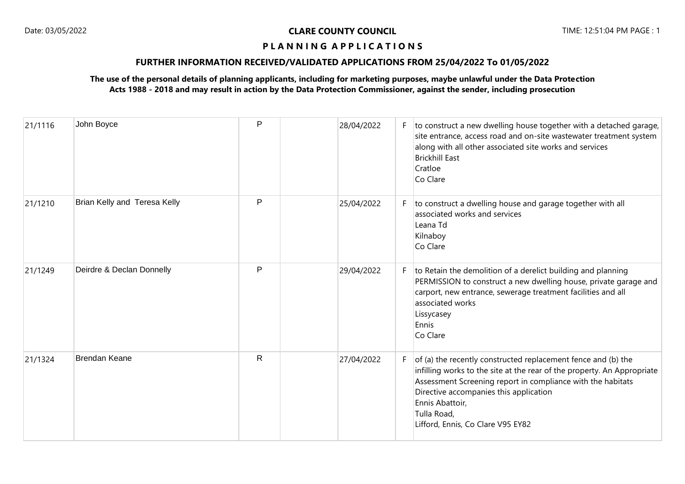# **FURTHER INFORMATION RECEIVED/VALIDATED APPLICATIONS FROM 25/04/2022 To 01/05/2022**

| 21/1116 | John Boyce                   | P            | 28/04/2022 |    | $F$ to construct a new dwelling house together with a detached garage,<br>site entrance, access road and on-site wastewater treatment system<br>along with all other associated site works and services<br><b>Brickhill East</b><br>Cratloe<br>Co Clare                                                                  |
|---------|------------------------------|--------------|------------|----|--------------------------------------------------------------------------------------------------------------------------------------------------------------------------------------------------------------------------------------------------------------------------------------------------------------------------|
| 21/1210 | Brian Kelly and Teresa Kelly | P            | 25/04/2022 | F  | to construct a dwelling house and garage together with all<br>associated works and services<br>Leana Td<br>Kilnaboy<br>Co Clare                                                                                                                                                                                          |
| 21/1249 | Deirdre & Declan Donnelly    | P            | 29/04/2022 | F. | to Retain the demolition of a derelict building and planning<br>PERMISSION to construct a new dwelling house, private garage and<br>carport, new entrance, sewerage treatment facilities and all<br>associated works<br>Lissycasey<br>Ennis<br>Co Clare                                                                  |
| 21/1324 | <b>Brendan Keane</b>         | $\mathsf{R}$ | 27/04/2022 | F. | of (a) the recently constructed replacement fence and (b) the<br>infilling works to the site at the rear of the property. An Appropriate<br>Assessment Screening report in compliance with the habitats<br>Directive accompanies this application<br>Ennis Abattoir,<br>Tulla Road,<br>Lifford, Ennis, Co Clare V95 EY82 |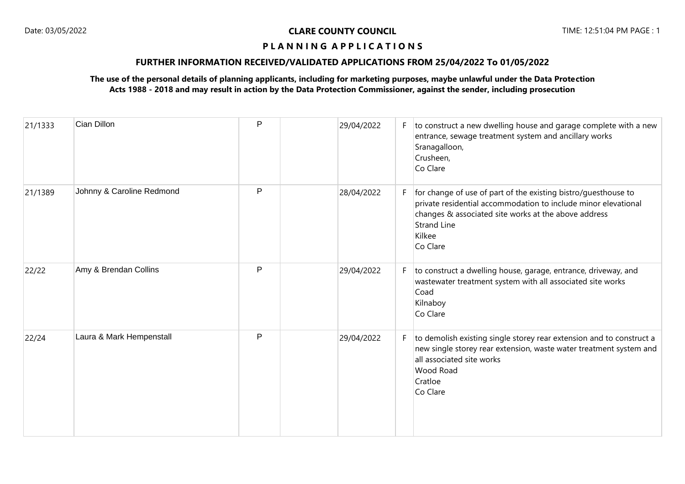# **FURTHER INFORMATION RECEIVED/VALIDATED APPLICATIONS FROM 25/04/2022 To 01/05/2022**

| 21/1333 | Cian Dillon               | P | 29/04/2022 | F. | to construct a new dwelling house and garage complete with a new<br>entrance, sewage treatment system and ancillary works<br>Sranagalloon,<br>Crusheen,<br>Co Clare                                                                  |
|---------|---------------------------|---|------------|----|--------------------------------------------------------------------------------------------------------------------------------------------------------------------------------------------------------------------------------------|
| 21/1389 | Johnny & Caroline Redmond | P | 28/04/2022 | F. | for change of use of part of the existing bistro/guesthouse to<br>private residential accommodation to include minor elevational<br>changes & associated site works at the above address<br><b>Strand Line</b><br>Kilkee<br>Co Clare |
| 22/22   | Amy & Brendan Collins     | P | 29/04/2022 | F. | to construct a dwelling house, garage, entrance, driveway, and<br>wastewater treatment system with all associated site works<br>Coad<br>Kilnaboy<br>Co Clare                                                                         |
| 22/24   | Laura & Mark Hempenstall  | P | 29/04/2022 | F. | to demolish existing single storey rear extension and to construct a<br>new single storey rear extension, waste water treatment system and<br>all associated site works<br>Wood Road<br>Cratloe<br>Co Clare                          |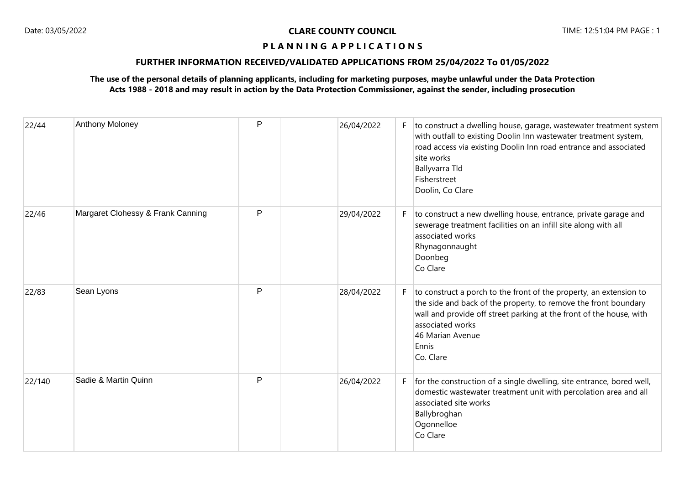## **FURTHER INFORMATION RECEIVED/VALIDATED APPLICATIONS FROM 25/04/2022 To 01/05/2022**

| 22/44  | Anthony Moloney                   | P            | 26/04/2022 |    | F to construct a dwelling house, garage, wastewater treatment system<br>with outfall to existing Doolin Inn wastewater treatment system,<br>road access via existing Doolin Inn road entrance and associated<br>site works<br>Ballyvarra Tld<br>Fisherstreet<br>Doolin, Co Clare |
|--------|-----------------------------------|--------------|------------|----|----------------------------------------------------------------------------------------------------------------------------------------------------------------------------------------------------------------------------------------------------------------------------------|
| 22/46  | Margaret Clohessy & Frank Canning | P            | 29/04/2022 | F. | to construct a new dwelling house, entrance, private garage and<br>sewerage treatment facilities on an infill site along with all<br>associated works<br>Rhynagonnaught<br>Doonbeg<br>Co Clare                                                                                   |
| 22/83  | Sean Lyons                        | P            | 28/04/2022 | F. | to construct a porch to the front of the property, an extension to<br>the side and back of the property, to remove the front boundary<br>wall and provide off street parking at the front of the house, with<br>associated works<br>46 Marian Avenue<br>Ennis<br>Co. Clare       |
| 22/140 | Sadie & Martin Quinn              | $\mathsf{P}$ | 26/04/2022 | F. | for the construction of a single dwelling, site entrance, bored well,<br>domestic wastewater treatment unit with percolation area and all<br>associated site works<br>Ballybroghan<br>Ogonnelloe<br>Co Clare                                                                     |